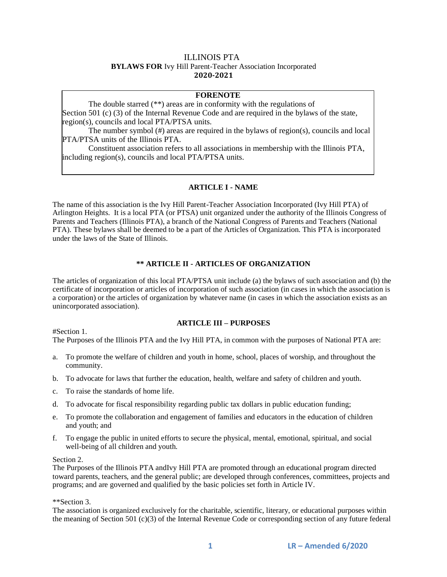# ILLINOIS PTA **BYLAWS FOR** Ivy Hill Parent-Teacher Association Incorporated **2020-2021**

# **FORENOTE**

The double starred (\*\*) areas are in conformity with the regulations of Section 501 (c) (3) of the Internal Revenue Code and are required in the bylaws of the state, region(s), councils and local PTA/PTSA units.

The number symbol  $(\#)$  areas are required in the bylaws of region(s), councils and local PTA/PTSA units of the Illinois PTA.

Constituent association refers to all associations in membership with the Illinois PTA, including region(s), councils and local PTA/PTSA units.

### **ARTICLE I - NAME**

The name of this association is the Ivy Hill Parent-Teacher Association Incorporated (Ivy Hill PTA) of Arlington Heights. It is a local PTA (or PTSA) unit organized under the authority of the Illinois Congress of Parents and Teachers (Illinois PTA), a branch of the National Congress of Parents and Teachers (National PTA). These bylaws shall be deemed to be a part of the Articles of Organization. This PTA is incorporated under the laws of the State of Illinois.

#### **\*\* ARTICLE II - ARTICLES OF ORGANIZATION**

The articles of organization of this local PTA/PTSA unit include (a) the bylaws of such association and (b) the certificate of incorporation or articles of incorporation of such association (in cases in which the association is a corporation) or the articles of organization by whatever name (in cases in which the association exists as an unincorporated association).

#### **ARTICLE III – PURPOSES**

#Section 1.

# The Purposes of the Illinois PTA and the Ivy Hill PTA, in common with the purposes of National PTA are:

- a. To promote the welfare of children and youth in home, school, places of worship, and throughout the community.
- b. To advocate for laws that further the education, health, welfare and safety of children and youth.
- c. To raise the standards of home life.
- d. To advocate for fiscal responsibility regarding public tax dollars in public education funding;
- e. To promote the collaboration and engagement of families and educators in the education of children and youth; and
- f. To engage the public in united efforts to secure the physical, mental, emotional, spiritual, and social well-being of all children and youth.

#### Section 2.

The Purposes of the Illinois PTA andIvy Hill PTA are promoted through an educational program directed toward parents, teachers, and the general public; are developed through conferences, committees, projects and programs; and are governed and qualified by the basic policies set forth in Article IV.

#### \*\*Section 3.

The association is organized exclusively for the charitable, scientific, literary, or educational purposes within the meaning of Section 501 (c)(3) of the Internal Revenue Code or corresponding section of any future federal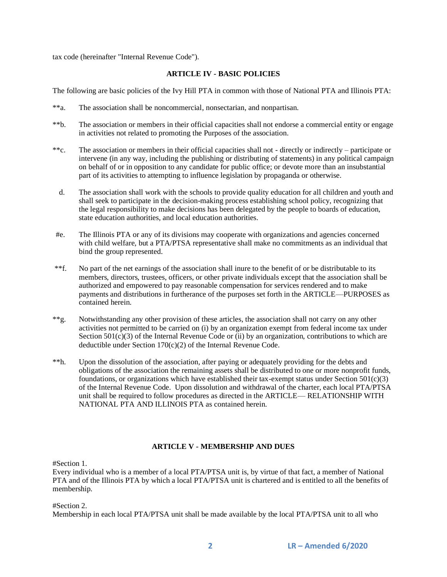tax code (hereinafter "Internal Revenue Code").

# **ARTICLE IV - BASIC POLICIES**

The following are basic policies of the Ivy Hill PTA in common with those of National PTA and Illinois PTA:

- \*\*a. The association shall be noncommercial, nonsectarian, and nonpartisan.
- \*\*b. The association or members in their official capacities shall not endorse a commercial entity or engage in activities not related to promoting the Purposes of the association.
- \*\*c. The association or members in their official capacities shall not directly or indirectly participate or intervene (in any way, including the publishing or distributing of statements) in any political campaign on behalf of or in opposition to any candidate for public office; or devote more than an insubstantial part of its activities to attempting to influence legislation by propaganda or otherwise.
	- d. The association shall work with the schools to provide quality education for all children and youth and shall seek to participate in the decision-making process establishing school policy, recognizing that the legal responsibility to make decisions has been delegated by the people to boards of education, state education authorities, and local education authorities.
- #e. The Illinois PTA or any of its divisions may cooperate with organizations and agencies concerned with child welfare, but a PTA/PTSA representative shall make no commitments as an individual that bind the group represented.
- \*\*f. No part of the net earnings of the association shall inure to the benefit of or be distributable to its members, directors, trustees, officers, or other private individuals except that the association shall be authorized and empowered to pay reasonable compensation for services rendered and to make payments and distributions in furtherance of the purposes set forth in the ARTICLE—PURPOSES as contained herein.
- \*\*g. Notwithstanding any other provision of these articles, the association shall not carry on any other activities not permitted to be carried on (i) by an organization exempt from federal income tax under Section  $501(c)(3)$  of the Internal Revenue Code or (ii) by an organization, contributions to which are deductible under Section 170(c)(2) of the Internal Revenue Code.
- \*\*h. Upon the dissolution of the association, after paying or adequately providing for the debts and obligations of the association the remaining assets shall be distributed to one or more nonprofit funds, foundations, or organizations which have established their tax-exempt status under Section 501(c)(3) of the Internal Revenue Code. Upon dissolution and withdrawal of the charter, each local PTA/PTSA unit shall be required to follow procedures as directed in the ARTICLE— RELATIONSHIP WITH NATIONAL PTA AND ILLINOIS PTA as contained herein.

# **ARTICLE V - MEMBERSHIP AND DUES**

#Section 1.

Every individual who is a member of a local PTA/PTSA unit is, by virtue of that fact, a member of National PTA and of the Illinois PTA by which a local PTA/PTSA unit is chartered and is entitled to all the benefits of membership.

#Section 2.

Membership in each local PTA/PTSA unit shall be made available by the local PTA/PTSA unit to all who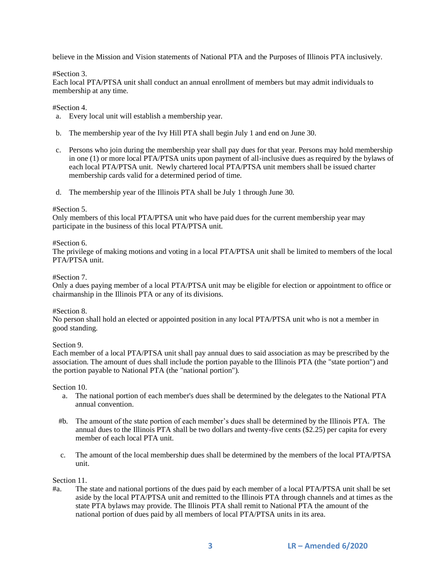believe in the Mission and Vision statements of National PTA and the Purposes of Illinois PTA inclusively.

#### #Section 3.

Each local PTA/PTSA unit shall conduct an annual enrollment of members but may admit individuals to membership at any time.

#Section 4.

- a. Every local unit will establish a membership year.
- b. The membership year of the Ivy Hill PTA shall begin July 1 and end on June 30.
- c. Persons who join during the membership year shall pay dues for that year. Persons may hold membership in one (1) or more local PTA/PTSA units upon payment of all-inclusive dues as required by the bylaws of each local PTA/PTSA unit. Newly chartered local PTA/PTSA unit members shall be issued charter membership cards valid for a determined period of time.
- d. The membership year of the Illinois PTA shall be July 1 through June 30.

#### #Section 5.

Only members of this local PTA/PTSA unit who have paid dues for the current membership year may participate in the business of this local PTA/PTSA unit.

#### #Section 6.

The privilege of making motions and voting in a local PTA/PTSA unit shall be limited to members of the local PTA/PTSA unit.

#### #Section 7.

Only a dues paying member of a local PTA/PTSA unit may be eligible for election or appointment to office or chairmanship in the Illinois PTA or any of its divisions.

#### #Section 8.

No person shall hold an elected or appointed position in any local PTA/PTSA unit who is not a member in good standing.

### Section 9.

Each member of a local PTA/PTSA unit shall pay annual dues to said association as may be prescribed by the association. The amount of dues shall include the portion payable to the Illinois PTA (the "state portion") and the portion payable to National PTA (the "national portion").

Section 10.

- a. The national portion of each member's dues shall be determined by the delegates to the National PTA annual convention.
- #b. The amount of the state portion of each member's dues shall be determined by the Illinois PTA. The annual dues to the Illinois PTA shall be two dollars and twenty-five cents (\$2.25) per capita for every member of each local PTA unit.
- c. The amount of the local membership dues shall be determined by the members of the local PTA/PTSA unit.

#### Section 11.

#a. The state and national portions of the dues paid by each member of a local PTA/PTSA unit shall be set aside by the local PTA/PTSA unit and remitted to the Illinois PTA through channels and at times as the state PTA bylaws may provide. The Illinois PTA shall remit to National PTA the amount of the national portion of dues paid by all members of local PTA/PTSA units in its area.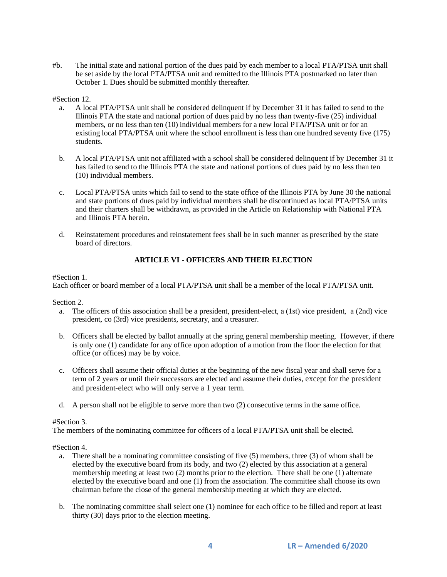#b. The initial state and national portion of the dues paid by each member to a local PTA/PTSA unit shall be set aside by the local PTA/PTSA unit and remitted to the Illinois PTA postmarked no later than October 1. Dues should be submitted monthly thereafter.

#### #Section 12.

- a. A local PTA/PTSA unit shall be considered delinquent if by December 31 it has failed to send to the Illinois PTA the state and national portion of dues paid by no less than twenty-five (25) individual members, or no less than ten (10) individual members for a new local PTA/PTSA unit or for an existing local PTA/PTSA unit where the school enrollment is less than one hundred seventy five (175) students.
- b. A local PTA/PTSA unit not affiliated with a school shall be considered delinquent if by December 31 it has failed to send to the Illinois PTA the state and national portions of dues paid by no less than ten (10) individual members.
- c. Local PTA/PTSA units which fail to send to the state office of the Illinois PTA by June 30 the national and state portions of dues paid by individual members shall be discontinued as local PTA/PTSA units and their charters shall be withdrawn, as provided in the Article on Relationship with National PTA and Illinois PTA herein.
- d. Reinstatement procedures and reinstatement fees shall be in such manner as prescribed by the state board of directors.

# **ARTICLE VI - OFFICERS AND THEIR ELECTION**

### #Section 1.

Each officer or board member of a local PTA/PTSA unit shall be a member of the local PTA/PTSA unit.

Section 2.

- a. The officers of this association shall be a president, president-elect, a (1st) vice president, a (2nd) vice president, co (3rd) vice presidents, secretary, and a treasurer.
- b. Officers shall be elected by ballot annually at the spring general membership meeting. However, if there is only one (1) candidate for any office upon adoption of a motion from the floor the election for that office (or offices) may be by voice.
- c. Officers shall assume their official duties at the beginning of the new fiscal year and shall serve for a term of 2 years or until their successors are elected and assume their duties, except for the president and president-elect who will only serve a 1 year term.
- d. A person shall not be eligible to serve more than two (2) consecutive terms in the same office.

### #Section 3.

The members of the nominating committee for officers of a local PTA/PTSA unit shall be elected.

#Section 4.

- a. There shall be a nominating committee consisting of five (5) members, three (3) of whom shall be elected by the executive board from its body, and two (2) elected by this association at a general membership meeting at least two (2) months prior to the election. There shall be one (1) alternate elected by the executive board and one (1) from the association. The committee shall choose its own chairman before the close of the general membership meeting at which they are elected.
- b. The nominating committee shall select one (1) nominee for each office to be filled and report at least thirty (30) days prior to the election meeting.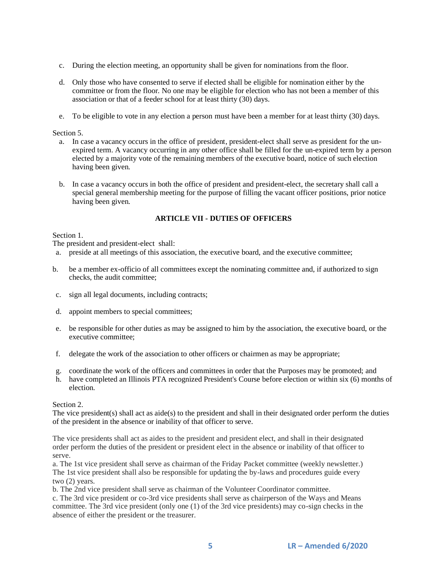- c. During the election meeting, an opportunity shall be given for nominations from the floor.
- d. Only those who have consented to serve if elected shall be eligible for nomination either by the committee or from the floor. No one may be eligible for election who has not been a member of this association or that of a feeder school for at least thirty (30) days.
- e. To be eligible to vote in any election a person must have been a member for at least thirty (30) days.

#### Section 5.

- a. In case a vacancy occurs in the office of president, president-elect shall serve as president for the unexpired term. A vacancy occurring in any other office shall be filled for the un-expired term by a person elected by a majority vote of the remaining members of the executive board, notice of such election having been given.
- b. In case a vacancy occurs in both the office of president and president-elect, the secretary shall call a special general membership meeting for the purpose of filling the vacant officer positions, prior notice having been given.

# **ARTICLE VII - DUTIES OF OFFICERS**

#### Section 1.

The president and president-elect shall:

- a. preside at all meetings of this association, the executive board, and the executive committee;
- b. be a member ex-officio of all committees except the nominating committee and, if authorized to sign checks, the audit committee;
- c. sign all legal documents, including contracts;
- d. appoint members to special committees;
- e. be responsible for other duties as may be assigned to him by the association, the executive board, or the executive committee;
- f. delegate the work of the association to other officers or chairmen as may be appropriate;
- g. coordinate the work of the officers and committees in order that the Purposes may be promoted; and
- h. have completed an Illinois PTA recognized President's Course before election or within six (6) months of election.

# Section 2.

The vice president(s) shall act as aide(s) to the president and shall in their designated order perform the duties of the president in the absence or inability of that officer to serve.

The vice presidents shall act as aides to the president and president elect, and shall in their designated order perform the duties of the president or president elect in the absence or inability of that officer to serve.

a. The 1st vice president shall serve as chairman of the Friday Packet committee (weekly newsletter.) The 1st vice president shall also be responsible for updating the by-laws and procedures guide every two (2) years.

b. The 2nd vice president shall serve as chairman of the Volunteer Coordinator committee.

c. The 3rd vice president or co-3rd vice presidents shall serve as chairperson of the Ways and Means committee. The 3rd vice president (only one (1) of the 3rd vice presidents) may co-sign checks in the absence of either the president or the treasurer.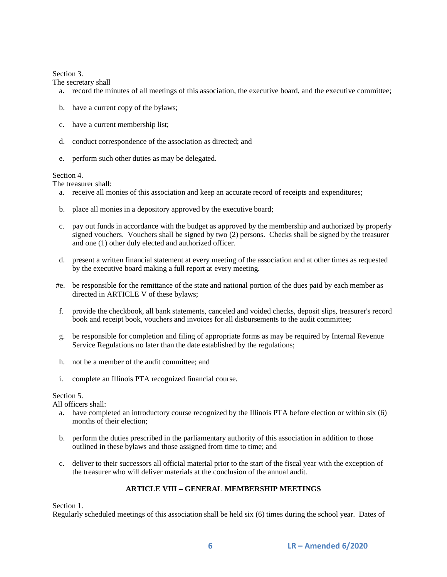### Section 3.

The secretary shall

- a. record the minutes of all meetings of this association, the executive board, and the executive committee;
- b. have a current copy of the bylaws;
- c. have a current membership list;
- d. conduct correspondence of the association as directed; and
- e. perform such other duties as may be delegated.

## Section 4.

The treasurer shall:

- a. receive all monies of this association and keep an accurate record of receipts and expenditures;
- b. place all monies in a depository approved by the executive board;
- c. pay out funds in accordance with the budget as approved by the membership and authorized by properly signed vouchers. Vouchers shall be signed by two (2) persons. Checks shall be signed by the treasurer and one (1) other duly elected and authorized officer.
- d. present a written financial statement at every meeting of the association and at other times as requested by the executive board making a full report at every meeting.
- #e. be responsible for the remittance of the state and national portion of the dues paid by each member as directed in ARTICLE V of these bylaws;
- f. provide the checkbook, all bank statements, canceled and voided checks, deposit slips, treasurer's record book and receipt book, vouchers and invoices for all disbursements to the audit committee;
- g. be responsible for completion and filing of appropriate forms as may be required by Internal Revenue Service Regulations no later than the date established by the regulations;
- h. not be a member of the audit committee; and
- i. complete an Illinois PTA recognized financial course.

### Section 5.

All officers shall:

- a. have completed an introductory course recognized by the Illinois PTA before election or within six (6) months of their election;
- b. perform the duties prescribed in the parliamentary authority of this association in addition to those outlined in these bylaws and those assigned from time to time; and
- c. deliver to their successors all official material prior to the start of the fiscal year with the exception of the treasurer who will deliver materials at the conclusion of the annual audit.

# **ARTICLE VIII – GENERAL MEMBERSHIP MEETINGS**

Section 1.

Regularly scheduled meetings of this association shall be held six (6) times during the school year. Dates of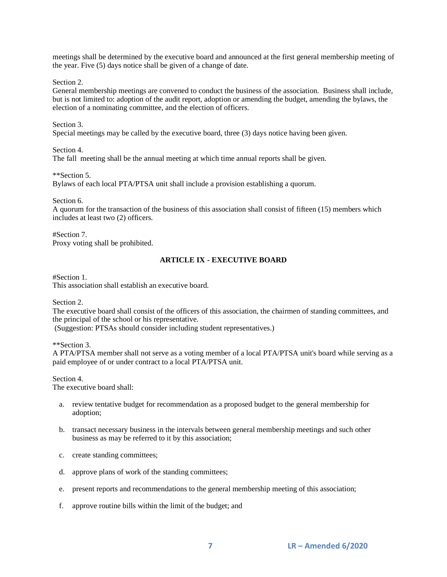meetings shall be determined by the executive board and announced at the first general membership meeting of the year. Five (5) days notice shall be given of a change of date.

Section 2.

General membership meetings are convened to conduct the business of the association. Business shall include, but is not limited to: adoption of the audit report, adoption or amending the budget, amending the bylaws, the election of a nominating committee, and the election of officers.

Section 3.

Special meetings may be called by the executive board, three (3) days notice having been given.

Section 4.

The fall meeting shall be the annual meeting at which time annual reports shall be given.

\*\*Section 5.

Bylaws of each local PTA/PTSA unit shall include a provision establishing a quorum.

Section 6.

A quorum for the transaction of the business of this association shall consist of fifteen (15) members which includes at least two (2) officers.

#Section 7. Proxy voting shall be prohibited.

# **ARTICLE IX - EXECUTIVE BOARD**

#Section 1.

This association shall establish an executive board.

Section 2.

The executive board shall consist of the officers of this association, the chairmen of standing committees, and the principal of the school or his representative.

(Suggestion: PTSAs should consider including student representatives.)

\*\*Section 3.

A PTA/PTSA member shall not serve as a voting member of a local PTA/PTSA unit's board while serving as a paid employee of or under contract to a local PTA/PTSA unit.

Section 4. The executive board shall:

- a. review tentative budget for recommendation as a proposed budget to the general membership for adoption;
- b. transact necessary business in the intervals between general membership meetings and such other business as may be referred to it by this association;
- c. create standing committees;
- d. approve plans of work of the standing committees;
- e. present reports and recommendations to the general membership meeting of this association;
- f. approve routine bills within the limit of the budget; and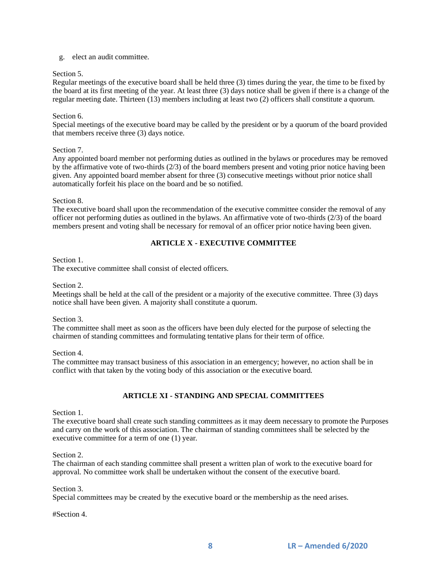### g. elect an audit committee.

### Section 5.

Regular meetings of the executive board shall be held three (3) times during the year, the time to be fixed by the board at its first meeting of the year. At least three (3) days notice shall be given if there is a change of the regular meeting date. Thirteen (13) members including at least two (2) officers shall constitute a quorum.

### Section 6.

Special meetings of the executive board may be called by the president or by a quorum of the board provided that members receive three (3) days notice.

## Section 7.

Any appointed board member not performing duties as outlined in the bylaws or procedures may be removed by the affirmative vote of two-thirds (2/3) of the board members present and voting prior notice having been given. Any appointed board member absent for three (3) consecutive meetings without prior notice shall automatically forfeit his place on the board and be so notified.

### Section 8.

The executive board shall upon the recommendation of the executive committee consider the removal of any officer not performing duties as outlined in the bylaws. An affirmative vote of two-thirds (2/3) of the board members present and voting shall be necessary for removal of an officer prior notice having been given.

# **ARTICLE X - EXECUTIVE COMMITTEE**

## Section 1.

The executive committee shall consist of elected officers.

Section 2.

Meetings shall be held at the call of the president or a majority of the executive committee. Three (3) days notice shall have been given. A majority shall constitute a quorum.

Section 3.

The committee shall meet as soon as the officers have been duly elected for the purpose of selecting the chairmen of standing committees and formulating tentative plans for their term of office.

Section 4.

The committee may transact business of this association in an emergency; however, no action shall be in conflict with that taken by the voting body of this association or the executive board.

# **ARTICLE XI - STANDING AND SPECIAL COMMITTEES**

### Section 1.

The executive board shall create such standing committees as it may deem necessary to promote the Purposes and carry on the work of this association. The chairman of standing committees shall be selected by the executive committee for a term of one (1) year.

Section 2.

The chairman of each standing committee shall present a written plan of work to the executive board for approval. No committee work shall be undertaken without the consent of the executive board.

### Section 3.

Special committees may be created by the executive board or the membership as the need arises.

#Section 4.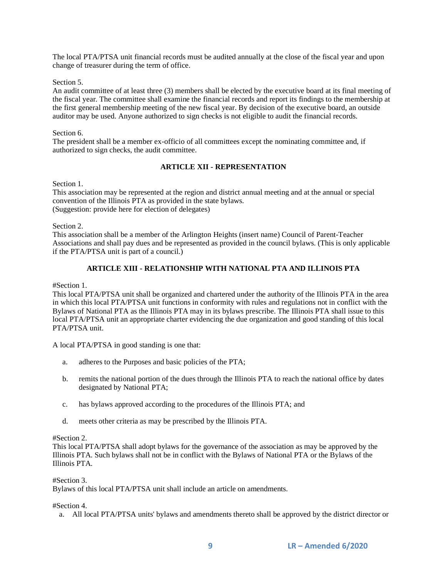The local PTA/PTSA unit financial records must be audited annually at the close of the fiscal year and upon change of treasurer during the term of office.

#### Section 5.

An audit committee of at least three (3) members shall be elected by the executive board at its final meeting of the fiscal year. The committee shall examine the financial records and report its findings to the membership at the first general membership meeting of the new fiscal year. By decision of the executive board, an outside auditor may be used. Anyone authorized to sign checks is not eligible to audit the financial records.

#### Section 6.

The president shall be a member ex-officio of all committees except the nominating committee and, if authorized to sign checks, the audit committee.

# **ARTICLE XII - REPRESENTATION**

#### Section 1.

This association may be represented at the region and district annual meeting and at the annual or special convention of the Illinois PTA as provided in the state bylaws. (Suggestion: provide here for election of delegates)

Section 2.

This association shall be a member of the Arlington Heights (insert name) Council of Parent-Teacher Associations and shall pay dues and be represented as provided in the council bylaws. (This is only applicable if the PTA/PTSA unit is part of a council.)

# **ARTICLE XIII - RELATIONSHIP WITH NATIONAL PTA AND ILLINOIS PTA**

#Section 1.

This local PTA/PTSA unit shall be organized and chartered under the authority of the Illinois PTA in the area in which this local PTA/PTSA unit functions in conformity with rules and regulations not in conflict with the Bylaws of National PTA as the Illinois PTA may in its bylaws prescribe. The Illinois PTA shall issue to this local PTA/PTSA unit an appropriate charter evidencing the due organization and good standing of this local PTA/PTSA unit.

A local PTA/PTSA in good standing is one that:

- a. adheres to the Purposes and basic policies of the PTA;
- b. remits the national portion of the dues through the Illinois PTA to reach the national office by dates designated by National PTA;
- c. has bylaws approved according to the procedures of the Illinois PTA; and
- d. meets other criteria as may be prescribed by the Illinois PTA.

#### #Section 2.

This local PTA/PTSA shall adopt bylaws for the governance of the association as may be approved by the Illinois PTA. Such bylaws shall not be in conflict with the Bylaws of National PTA or the Bylaws of the Illinois PTA.

### #Section 3.

Bylaws of this local PTA/PTSA unit shall include an article on amendments.

#### #Section 4.

a. All local PTA/PTSA units' bylaws and amendments thereto shall be approved by the district director or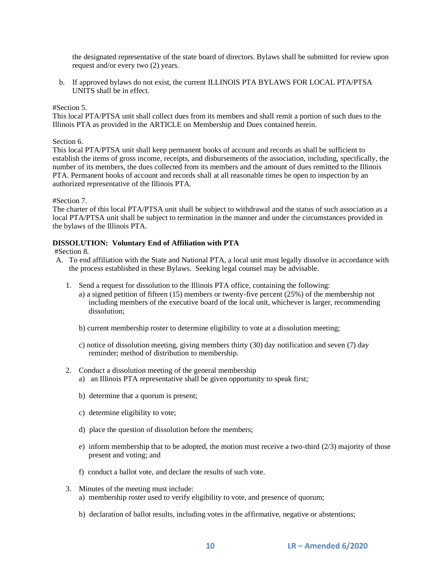the designated representative of the state board of directors. Bylaws shall be submitted for review upon request and/or every two (2) years.

b. If approved bylaws do not exist, the current ILLINOIS PTA BYLAWS FOR LOCAL PTA/PTSA UNITS shall be in effect.

#### #Section 5.

This local PTA/PTSA unit shall collect dues from its members and shall remit a portion of such dues to the Illinois PTA as provided in the ARTICLE on Membership and Dues contained herein.

#### Section 6.

This local PTA/PTSA unit shall keep permanent books of account and records as shall be sufficient to establish the items of gross income, receipts, and disbursements of the association, including, specifically, the number of its members, the dues collected from its members and the amount of dues remitted to the Illinois PTA. Permanent books of account and records shall at all reasonable times be open to inspection by an authorized representative of the Illinois PTA.

#### #Section 7.

The charter of this local PTA/PTSA unit shall be subject to withdrawal and the status of such association as a local PTA/PTSA unit shall be subject to termination in the manner and under the circumstances provided in the bylaws of the Illinois PTA.

### **DISSOLUTION: Voluntary End of Affiliation with PTA**

#### #Section 8.

- A. To end affiliation with the State and National PTA, a local unit must legally dissolve in accordance with the process established in these Bylaws. Seeking legal counsel may be advisable.
	- 1. Send a request for dissolution to the Illinois PTA office, containing the following:
		- a) a signed petition of fifteen (15) members or twenty-five percent (25%) of the membership not including members of the executive board of the local unit, whichever is larger, recommending dissolution;
		- b) current membership roster to determine eligibility to vote at a dissolution meeting;
		- c) notice of dissolution meeting, giving members thirty (30) day notification and seven (7) day reminder; method of distribution to membership.
	- 2. Conduct a dissolution meeting of the general membership
		- a) an Illinois PTA representative shall be given opportunity to speak first;
		- b) determine that a quorum is present;
		- c) determine eligibility to vote;
		- d) place the question of dissolution before the members;
		- e) inform membership that to be adopted, the motion must receive a two-third  $(2/3)$  majority of those present and voting; and
		- f) conduct a ballot vote, and declare the results of such vote.
	- 3. Minutes of the meeting must include: a) membership roster used to verify eligibility to vote, and presence of quorum;
		- b) declaration of ballot results, including votes in the affirmative, negative or abstentions;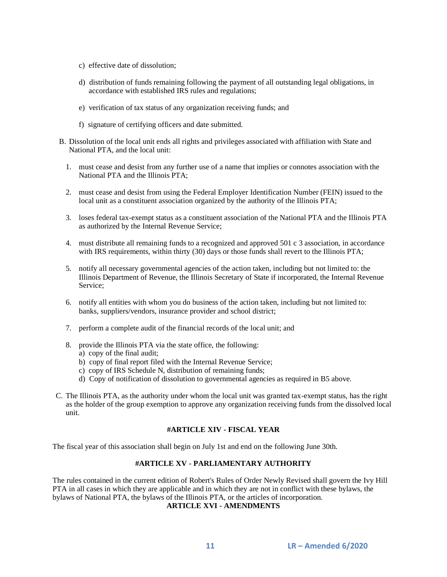- c) effective date of dissolution;
- d) distribution of funds remaining following the payment of all outstanding legal obligations, in accordance with established IRS rules and regulations;
- e) verification of tax status of any organization receiving funds; and
- f) signature of certifying officers and date submitted.
- B. Dissolution of the local unit ends all rights and privileges associated with affiliation with State and National PTA, and the local unit:
	- 1. must cease and desist from any further use of a name that implies or connotes association with the National PTA and the Illinois PTA;
	- 2. must cease and desist from using the Federal Employer Identification Number (FEIN) issued to the local unit as a constituent association organized by the authority of the Illinois PTA;
	- 3. loses federal tax-exempt status as a constituent association of the National PTA and the Illinois PTA as authorized by the Internal Revenue Service;
	- 4. must distribute all remaining funds to a recognized and approved 501 c 3 association, in accordance with IRS requirements, within thirty (30) days or those funds shall revert to the Illinois PTA;
	- 5. notify all necessary governmental agencies of the action taken, including but not limited to: the Illinois Department of Revenue, the Illinois Secretary of State if incorporated, the Internal Revenue Service;
	- 6. notify all entities with whom you do business of the action taken, including but not limited to: banks, suppliers/vendors, insurance provider and school district;
	- 7. perform a complete audit of the financial records of the local unit; and
	- 8. provide the Illinois PTA via the state office, the following: a) copy of the final audit;
		- b) copy of final report filed with the Internal Revenue Service;
		- c) copy of IRS Schedule N, distribution of remaining funds;
		- d) Copy of notification of dissolution to governmental agencies as required in B5 above.
- C. The Illinois PTA, as the authority under whom the local unit was granted tax-exempt status, has the right as the holder of the group exemption to approve any organization receiving funds from the dissolved local unit.

# **#ARTICLE XIV - FISCAL YEAR**

The fiscal year of this association shall begin on July 1st and end on the following June 30th.

#### **#ARTICLE XV - PARLIAMENTARY AUTHORITY**

The rules contained in the current edition of Robert's Rules of Order Newly Revised shall govern the Ivy Hill PTA in all cases in which they are applicable and in which they are not in conflict with these bylaws, the bylaws of National PTA, the bylaws of the Illinois PTA, or the articles of incorporation.

**ARTICLE XVI - AMENDMENTS**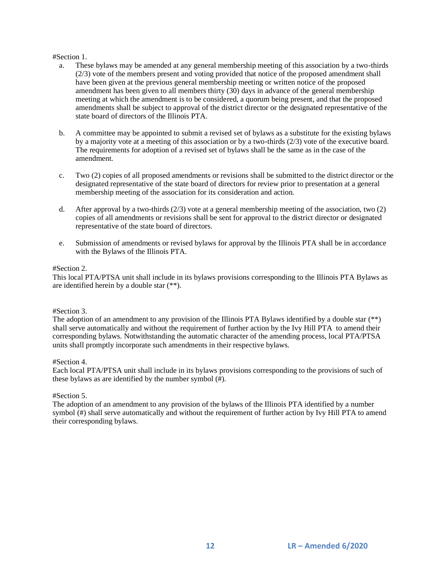### #Section 1.

- a. These bylaws may be amended at any general membership meeting of this association by a two-thirds (2/3) vote of the members present and voting provided that notice of the proposed amendment shall have been given at the previous general membership meeting or written notice of the proposed amendment has been given to all members thirty (30) days in advance of the general membership meeting at which the amendment is to be considered, a quorum being present, and that the proposed amendments shall be subject to approval of the district director or the designated representative of the state board of directors of the Illinois PTA.
- b. A committee may be appointed to submit a revised set of bylaws as a substitute for the existing bylaws by a majority vote at a meeting of this association or by a two-thirds (2/3) vote of the executive board. The requirements for adoption of a revised set of bylaws shall be the same as in the case of the amendment.
- c. Two (2) copies of all proposed amendments or revisions shall be submitted to the district director or the designated representative of the state board of directors for review prior to presentation at a general membership meeting of the association for its consideration and action.
- d. After approval by a two-thirds  $(2/3)$  vote at a general membership meeting of the association, two  $(2)$ copies of all amendments or revisions shall be sent for approval to the district director or designated representative of the state board of directors.
- e. Submission of amendments or revised bylaws for approval by the Illinois PTA shall be in accordance with the Bylaws of the Illinois PTA.

### #Section 2.

This local PTA/PTSA unit shall include in its bylaws provisions corresponding to the Illinois PTA Bylaws as are identified herein by a double star (\*\*).

### #Section 3.

The adoption of an amendment to any provision of the Illinois PTA Bylaws identified by a double star (\*\*) shall serve automatically and without the requirement of further action by the Ivy Hill PTA to amend their corresponding bylaws. Notwithstanding the automatic character of the amending process, local PTA/PTSA units shall promptly incorporate such amendments in their respective bylaws.

### #Section 4.

Each local PTA/PTSA unit shall include in its bylaws provisions corresponding to the provisions of such of these bylaws as are identified by the number symbol (#).

### #Section 5.

The adoption of an amendment to any provision of the bylaws of the Illinois PTA identified by a number symbol (#) shall serve automatically and without the requirement of further action by Ivy Hill PTA to amend their corresponding bylaws.